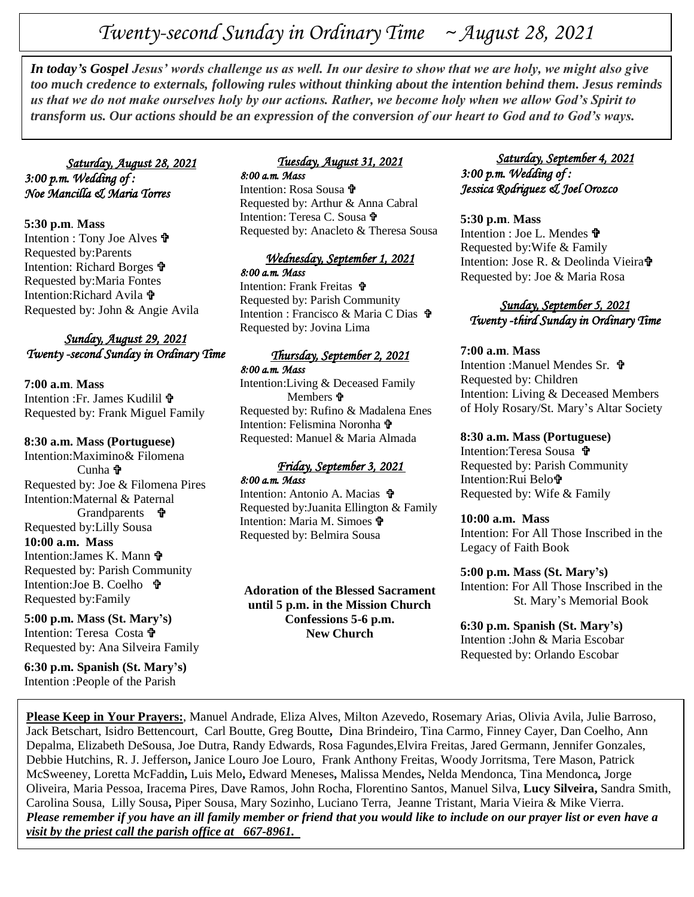# *Twenty-second Sunday in Ordinary Time ~ August 28, 2021*

**In today's Gospel Jesus' words challenge us as well. In our desire to show that we are holy, we might also give<br>too much credance to externals, following rules without thinking about the intention behind them. Lesus remin** *too much credence to externals, following rules without thinking about the intention behind them. Jesus reminds us that we do not make ourselves holy by our actions. Rather, we become holy when we allow God's Spirit to transform us. Our actions should be an expression of the conversion of our heart to God and to God's ways.*

 *Saturday, August 28, 2021 3:00 p.m. Wedding of : Noe Mancilla & Maria Torres* 

**5:30 p.m**. **Mass** Intention : Tony Joe Alves Requested by:Parents Intention: Richard Borges Requested by:Maria Fontes Intention:Richard Avila Requested by: John & Angie Avila

# *Sunday, August 29, 2021 Twenty -second Sunday in Ordinary Time*

**7:00 a.m**. **Mass** Intention :Fr. James Kudilil Requested by: Frank Miguel Family

#### **8:30 a.m. Mass (Portuguese)**

Intention:Maximino& Filomena  $C$ unha  $\Phi$ Requested by: Joe & Filomena Pires Intention:Maternal & Paternal Grandparents  $\mathbf{\hat{\mathbf{F}}}$ Requested by:Lilly Sousa **10:00 a.m. Mass** Intention:James K. Mann Requested by: Parish Community Intention:Joe B. Coelho 章 Requested by:Family

**5:00 p.m. Mass (St. Mary's)** Intention: Teresa Costa Requested by: Ana Silveira Family

**6:30 p.m. Spanish (St. Mary's)** Intention :People of the Parish

### *Tuesday, August 31, 2021 8:00 a.m. Mass*

Intention: Rosa Sousa Requested by: Arthur & Anna Cabral Intention: Teresa C. Sousa Requested by: Anacleto & Theresa Sousa

# *Wednesday, September 1, 2021*

*8:00 a.m. Mass*  Intention: Frank Freitas Requested by: Parish Community Intention : Francisco & Maria C Dias Requested by: Jovina Lima

#### *Thursday, September 2, 2021 8:00 a.m. Mass*

Intention:Living & Deceased Family Members  $\mathbf{\hat{v}}$ Requested by: Rufino & Madalena Enes Intention: Felismina Noronha Requested: Manuel & Maria Almada

#### *Friday, September 3, 2021 8:00 a.m. Mass*

Intention: Antonio A. Macias Requested by:Juanita Ellington & Family Intention: Maria M. Simoes Requested by: Belmira Sousa

**Adoration of the Blessed Sacrament until 5 p.m. in the Mission Church Confessions 5-6 p.m. New Church**

# *Saturday, September 4, 2021 3:00 p.m. Wedding of : Jessica Rodriguez & Joel Orozco*

#### **5:30 p.m**. **Mass**

Intention : Joe L. Mendes Requested by:Wife & Family Intention: Jose R. & Deolinda Vieira Requested by: Joe & Maria Rosa

# *Sunday, September 5, 2021 Twenty -third Sunday in Ordinary Time*

#### **7:00 a.m**. **Mass**

Intention :Manuel Mendes Sr. **f** Requested by: Children Intention: Living & Deceased Members of Holy Rosary/St. Mary's Altar Society

#### **8:30 a.m. Mass (Portuguese)**

Intention:Teresa Sousa **t** Requested by: Parish Community Intention:Rui Belo Requested by: Wife & Family

#### **10:00 a.m. Mass**

Intention: For All Those Inscribed in the Legacy of Faith Book

#### **5:00 p.m. Mass (St. Mary's)**

Intention: For All Those Inscribed in the St. Mary's Memorial Book

#### **6:30 p.m. Spanish (St. Mary's)** Intention :John & Maria Escobar

Requested by: Orlando Escobar

**Please Keep in Your Prayers:**, Manuel Andrade, Eliza Alves, Milton Azevedo, Rosemary Arias, Olivia Avila, Julie Barroso, Jack Betschart, Isidro Bettencourt, Carl Boutte, Greg Boutte**,** Dina Brindeiro, Tina Carmo, Finney Cayer, Dan Coelho, Ann Depalma, Elizabeth DeSousa, Joe Dutra, Randy Edwards, Rosa Fagundes,Elvira Freitas, Jared Germann, Jennifer Gonzales, Debbie Hutchins, R. J. Jefferson**,** Janice Louro Joe Louro, Frank Anthony Freitas, Woody Jorritsma, Tere Mason, Patrick McSweeney, Loretta McFaddin**,** Luis Melo**,** Edward Meneses**,** Malissa Mendes**,** Nelda Mendonca, Tina Mendonca*,* Jorge Oliveira, Maria Pessoa, Iracema Pires, Dave Ramos, John Rocha, Florentino Santos, Manuel Silva, **Lucy Silveira,** Sandra Smith, Carolina Sousa, Lilly Sousa**,** Piper Sousa, Mary Sozinho, Luciano Terra, Jeanne Tristant, Maria Vieira & Mike Vierra. *Please remember if you have an ill family member or friend that you would like to include on our prayer list or even have a visit by the priest call the parish office at 667-8961.*